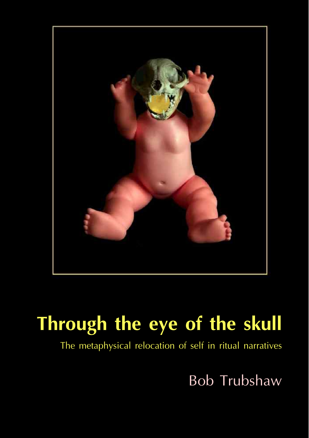

The metaphysical relocation of self in ritual narratives

Bob Trubshaw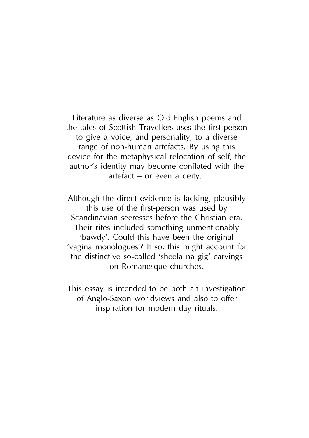Literature as diverse as Old English poems and the tales of Scottish Travellers uses the first-person to give a voice, and personality, to a diverse range of non-human artefacts. By using this device for the metaphysical relocation of self, the author's identity may become conflated with the artefact – or even a deity.

Although the direct evidence is lacking, plausibly this use of the first-person was used by Scandinavian seeresses before the Christian era. Their rites included something unmentionably 'bawdy'. Could this have been the original 'vagina monologues'? If so, this might account for the distinctive so-called 'sheela na gig' carvings on Romanesque churches.

This essay is intended to be both an investigation of Anglo-Saxon worldviews and also to offer inspiration for modern day rituals.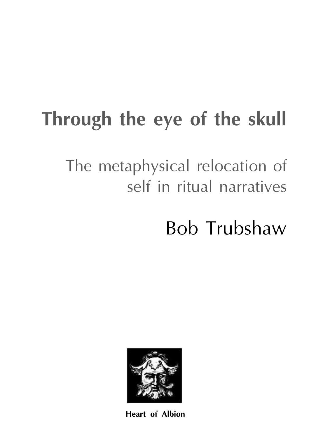The metaphysical relocation of self in ritual narratives

Bob Trubshaw



**Heart of Albion**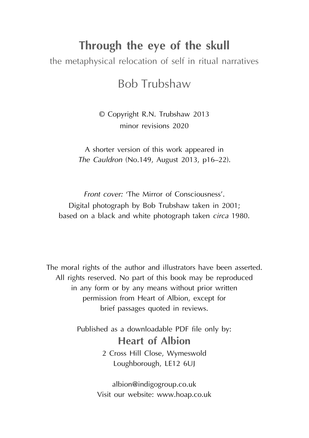the metaphysical relocation of self in ritual narratives

## Bob Trubshaw

© Copyright R.N. Trubshaw 2013 minor revisions 2020

A shorter version of this work appeared in *The Cauldron* (No.149, August 2013, p16–22).

*Front cover:* 'The Mirror of Consciousness'. Digital photograph by Bob Trubshaw taken in 2001; based on a black and white photograph taken *circa* 1980.

The moral rights of the author and illustrators have been asserted. All rights reserved. No part of this book may be reproduced in any form or by any means without prior written permission from Heart of Albion, except for brief passages quoted in reviews.

> Published as a downloadable PDF file only by: **Heart of Albion** 2 Cross Hill Close, Wymeswold Loughborough, LE12 6UJ

> > albion@indigogroup.co.uk Visit our website: www.hoap.co.uk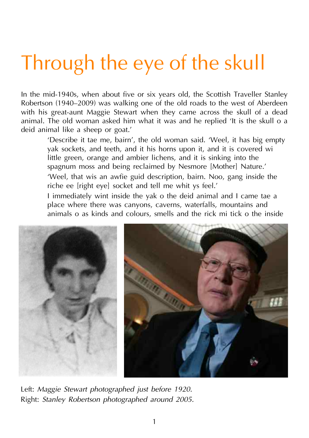In the mid-1940s, when about five or six years old, the Scottish Traveller Stanley Robertson (1940–2009) was walking one of the old roads to the west of Aberdeen with his great-aunt Maggie Stewart when they came across the skull of a dead animal. The old woman asked him what it was and he replied 'It is the skull o a deid animal like a sheep or goat.'

'Describe it tae me, bairn', the old woman said. 'Weel, it has big empty yak sockets, and teeth, and it his horns upon it, and it is covered wi little green, orange and ambier lichens, and it is sinking into the spagnum moss and being reclaimed by Nesmore [Mother] Nature.' 'Weel, that wis an awfie guid description, bairn. Noo, gang inside the riche ee [right eye] socket and tell me whit ys feel.'

I immediately wint inside the yak o the deid animal and I came tae a place where there was canyons, caverns, waterfalls, mountains and animals o as kinds and colours, smells and the rick mi tick o the inside



Left: *Maggie Stewart photographed just before 1920.* Right: *Stanley Robertson photographed around 2005.*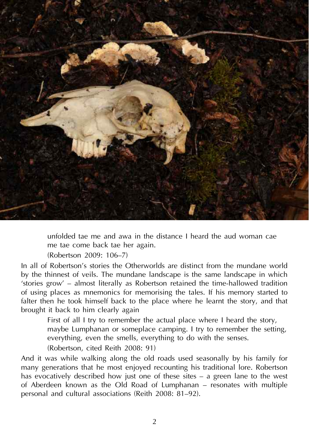

unfolded tae me and awa in the distance I heard the aud woman cae me tae come back tae her again.

(Robertson 2009: 106–7)

In all of Robertson's stories the Otherworlds are distinct from the mundane world by the thinnest of veils. The mundane landscape is the same landscape in which 'stories grow' – almost literally as Robertson retained the time-hallowed tradition of using places as mnemonics for memorising the tales. If his memory started to falter then he took himself back to the place where he learnt the story, and that brought it back to him clearly again

First of all I try to remember the actual place where I heard the story, maybe Lumphanan or someplace camping. I try to remember the setting, everything, even the smells, everything to do with the senses. (Robertson, cited Reith 2008: 91)

And it was while walking along the old roads used seasonally by his family for many generations that he most enjoyed recounting his traditional lore. Robertson has evocatively described how just one of these sites – a green lane to the west of Aberdeen known as the Old Road of Lumphanan – resonates with multiple personal and cultural associations (Reith 2008: 81–92).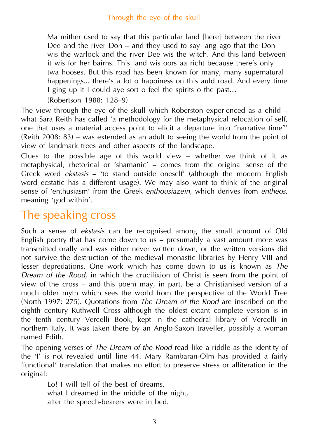Ma mither used to say that this particular land [here] between the river Dee and the river Don – and they used to say lang ago that the Don wis the warlock and the river Dee wis the witch. And this land between it wis for her bairns. This land wis oors aa richt because there's only twa hooses. But this road has been known for many, many supernatural happenings... there's a lot o happiness on this auld road. And every time I ging up it I could aye sort o feel the spirits o the past…

(Robertson 1988: 128–9)

The view through the eye of the skull which Roberston experienced as a child – what Sara Reith has called 'a methodology for the metaphysical relocation of self, one that uses a material access point to elicit a departure into "narrative time"' (Reith 2008: 83) – was extended as an adult to seeing the world from the point of view of landmark trees and other aspects of the landscape.

Clues to the possible age of this world view – whether we think of it as metaphysical, rhetorical or 'shamanic' – comes from the original sense of the Greek word *ekstasis* – 'to stand outside oneself' (although the modern English word ecstatic has a different usage). We may also want to think of the original sense of 'enthusiasm' from the Greek *enthousiazein,* which derives from *entheos*, meaning 'god within'.

# The speaking cross

Such a sense of *ekstasis* can be recognised among the small amount of Old English poetry that has come down to us  $-$  presumably a vast amount more was transmitted orally and was either never written down, or the written versions did not survive the destruction of the medieval monastic libraries by Henry VIII and lesser depredations. One work which has come down to us is known as *The Dream of the Rood*, in which the crucifixion of Christ is seen from the point of view of the cross – and this poem may, in part, be a Christianised version of a much older myth which sees the world from the perspective of the World Tree (North 1997: 275). Quotations from *The Dream of the Rood* are inscribed on the eighth century Ruthwell Cross although the oldest extant complete version is in the tenth century Vercelli Book, kept in the cathedral library of Vercelli in northern Italy. It was taken there by an Anglo-Saxon traveller, possibly a woman named Edith.

The opening verses of *The Dream of the Rood* read like a riddle as the identity of the 'I' is not revealed until line 44. Mary Rambaran-Olm has provided a fairly 'functional' translation that makes no effort to preserve stress or alliteration in the original:

Lo! I will tell of the best of dreams, what I dreamed in the middle of the night, after the speech-bearers were in bed.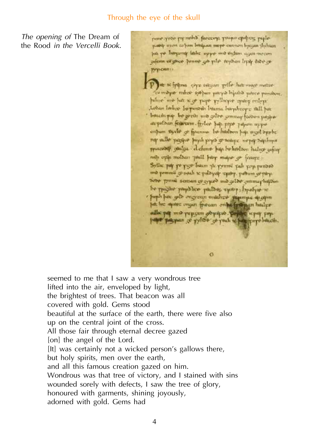*The opening of* The Dream of the Rood *in the Vercelli Book.*

none avoir pre mont force pays propo cpoters poplepantly more calons being on maps connon hyezan thyham. you've happenty layer upper and audion again movem admin of given house an plat teplan lipy have as Pypoun!) P et te fritma one esteein pelle hat more metre compute mice speper pays bijabb nevce pondon. papers are her sigt pupe vyllupre query orders Later labor by persis burns brephone still per baseding the great was gelbe sommar frozen propor stepstban feitswarm fylke bajt price yahen nype enham there or fourmed by hitebon has most surfunel my before bany band to a see the state of part prince of gailor define has be hereloon halves using men opin molders pail have major or fource Syllic par po pays beam the pynini pali you punded ma pommi za sociala ze playe epoty, patrim co pozzi ness prime sensor of synch and color commanders one be purche payables partos spring hyatyre is · paph has gelb ongyzun mather superipe sport but his squire engan freecan enthe fertiman huilpe edke pat me papisan gopique. Bejdes upot pop.<br>Japo patpan je pylose je part u bag pop bituris.

 $\sigma$ 

seemed to me that I saw a very wondrous tree lifted into the air, enveloped by light, the brightest of trees. That beacon was all covered with gold. Gems stood beautiful at the surface of the earth, there were five also up on the central joint of the cross. All those fair through eternal decree gazed [on] the angel of the Lord. [It] was certainly not a wicked person's gallows there, but holy spirits, men over the earth, and all this famous creation gazed on him. Wondrous was that tree of victory, and I stained with sins wounded sorely with defects, I saw the tree of glory, honoured with garments, shining joyously, adorned with gold. Gems had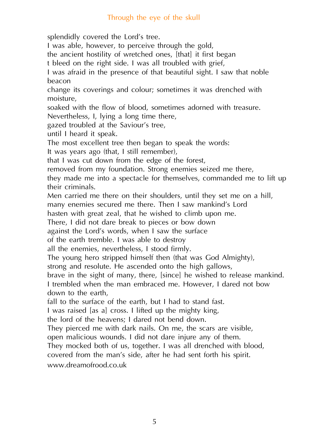splendidly covered the Lord's tree.

I was able, however, to perceive through the gold,

the ancient hostility of wretched ones, [that] it first began

t bleed on the right side. I was all troubled with grief,

I was afraid in the presence of that beautiful sight. I saw that noble beacon

change its coverings and colour; sometimes it was drenched with moisture,

soaked with the flow of blood, sometimes adorned with treasure. Nevertheless, I, lying a long time there,

gazed troubled at the Saviour's tree,

until I heard it speak.

The most excellent tree then began to speak the words:

It was years ago (that, I still remember),

that I was cut down from the edge of the forest,

removed from my foundation. Strong enemies seized me there,

they made me into a spectacle for themselves, commanded me to lift up their criminals.

Men carried me there on their shoulders, until they set me on a hill,

many enemies secured me there. Then I saw mankind's Lord

hasten with great zeal, that he wished to climb upon me.

There, I did not dare break to pieces or bow down

against the Lord's words, when I saw the surface

of the earth tremble. I was able to destroy

all the enemies, nevertheless, I stood firmly.

The young hero stripped himself then (that was God Almighty),

strong and resolute. He ascended onto the high gallows,

brave in the sight of many, there, [since] he wished to release mankind. I trembled when the man embraced me. However, I dared not bow down to the earth,

fall to the surface of the earth, but I had to stand fast.

I was raised [as a] cross. I lifted up the mighty king,

the lord of the heavens; I dared not bend down.

They pierced me with dark nails. On me, the scars are visible,

open malicious wounds. I did not dare injure any of them.

They mocked both of us, together. I was all drenched with blood,

covered from the man's side, after he had sent forth his spirit.

www.dreamofrood.co.uk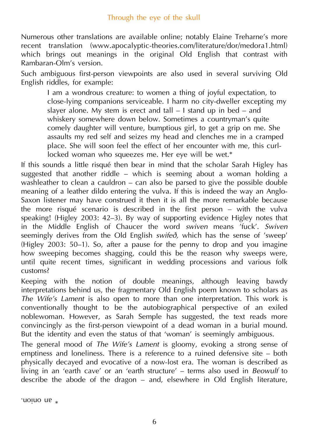Numerous other translations are available online; notably Elaine Treharne's more recent translation (www.apocalyptic-theories.com/literature/dor/medora1.html) which brings out meanings in the original Old English that contrast with Rambaran-Olm's version.

Such ambiguous first-person viewpoints are also used in several surviving Old English riddles, for example:

I am a wondrous creature: to women a thing of joyful expectation, to close-lying companions serviceable. I harm no city-dweller excepting my slayer alone. My stem is erect and tall  $-1$  stand up in bed  $-$  and whiskery somewhere down below. Sometimes a countryman's quite comely daughter will venture, bumptious girl, to get a grip on me. She assaults my red self and seizes my head and clenches me in a cramped place. She will soon feel the effect of her encounter with me, this curllocked woman who squeezes me. Her eye will be wet.\*

If this sounds a little risqué then bear in mind that the scholar Sarah Higley has suggested that another riddle – which is seeming about a woman holding a washleather to clean a cauldron – can also be parsed to give the possible double meaning of a leather dildo entering the vulva. If this is indeed the way an Anglo-Saxon listener may have construed it then it is all the more remarkable because the more risqué scenario is described in the first person – with the vulva speaking! (Higley 2003: 42–3). By way of supporting evidence Higley notes that in the Middle English of Chaucer the word *swiven* means 'fuck'. *Swiven* seemingly derives from the Old English *swifeð,* which has the sense of 'sweep' (Higley 2003: 50–1). So, after a pause for the penny to drop and you imagine how sweeping becomes shagging, could this be the reason why sweeps were, until quite recent times, significant in wedding processions and various folk customs?

Keeping with the notion of double meanings, although leaving bawdy interpretations behind us, the fragmentary Old English poem known to scholars as *The Wife's Lament* is also open to more than one interpretation. This work is conventionally thought to be the autobiographical perspective of an exiled noblewoman. However, as Sarah Semple has suggested, the text reads more convincingly as the first-person viewpoint of a dead woman in a burial mound. But the identity and even the status of that 'woman' is seemingly ambiguous.

The general mood of *The Wife's Lament* is gloomy, evoking a strong sense of emptiness and loneliness. There is a reference to a ruined defensive site – both physically decayed and evocative of a now-lost era. The woman is described as living in an 'earth cave' or an 'earth structure' – terms also used in *Beowulf* to describe the abode of the dragon – and, elsewhere in Old English literature,

onino na \*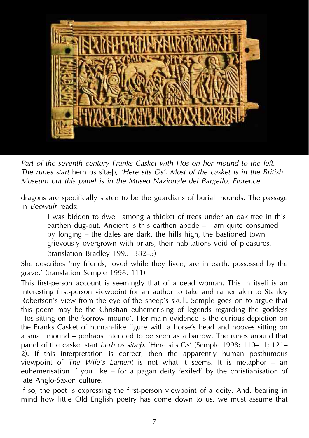

*Part of the seventh century Franks Casket with Hos on her mound to the left. The runes start* herh os sitæþ, *'Here sits Os'. Most of the casket is in the British Museum but this panel is in the Museo Nazionale del Bargello, Florence.*

dragons are specifically stated to be the guardians of burial mounds. The passage in *Beowulf* reads:

I was bidden to dwell among a thicket of trees under an oak tree in this earthen dug-out. Ancient is this earthen abode – I am quite consumed by longing – the dales are dark, the hills high, the bastioned town grievously overgrown with briars, their habitations void of pleasures. (translation Bradley 1995: 382–5)

She describes 'my friends, loved while they lived, are in earth, possessed by the grave.' (translation Semple 1998: 111)

This first-person account is seemingly that of a dead woman. This in itself is an interesting first-person viewpoint for an author to take and rather akin to Stanley Robertson's view from the eye of the sheep's skull. Semple goes on to argue that this poem may be the Christian euhemerising of legends regarding the goddess Hos sitting on the 'sorrow mound'. Her main evidence is the curious depiction on the Franks Casket of human-like figure with a horse's head and hooves sitting on a small mound – perhaps intended to be seen as a barrow. The runes around that panel of the casket start *herh os sitæþ,* 'Here sits Os' (Semple 1998: 110–11; 121– 2). If this interpretation is correct, then the apparently human posthumous viewpoint of *The Wife's Lament* is not what it seems. It is metaphor – an euhemerisation if you like – for a pagan deity 'exiled' by the christianisation of late Anglo-Saxon culture.

If so, the poet is expressing the first-person viewpoint of a deity. And, bearing in mind how little Old English poetry has come down to us, we must assume that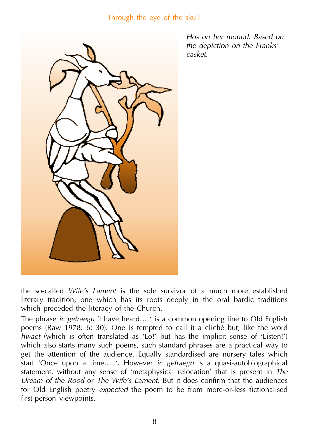

*Hos on her mound. Based on the depiction on the Franks' casket.*

the so-called *Wife's Lament* is the sole survivor of a much more established literary tradition, one which has its roots deeply in the oral bardic traditions which preceded the literacy of the Church.

The phrase *ic gefraegn* 'I have heard… ' is a common opening line to Old English poems (Raw 1978: 6; 30). One is tempted to call it a cliché but, like the word *hwaet* (which is often translated as 'Lo!' but has the implicit sense of 'Listen!') which also starts many such poems, such standard phrases are a practical way to get the attention of the audience. Equally standardised are nursery tales which start 'Once upon a time… '. However *ic gefraegn* is a quasi-autobiographical statement, without any sense of 'metaphysical relocation' that is present in *The Dream of the Rood* or *The Wife's Lament*. But it does confirm that the audiences for Old English poetry *expected* the poem to be from more-or-less fictionalised first-person viewpoints.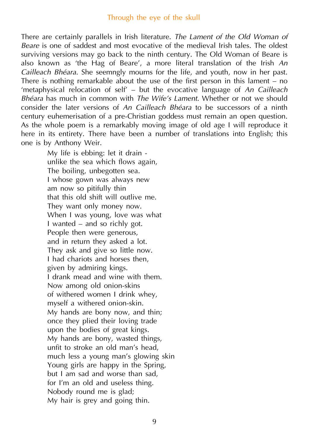There are certainly parallels in Irish literature. *The Lament of the Old Woman of Beare* is one of saddest and most evocative of the medieval Irish tales. The oldest surviving versions may go back to the ninth century. The Old Woman of Beare is also known as 'the Hag of Beare', a more literal translation of the Irish *An Cailleach Bhéara*. She seemngly mourns for the life, and youth, now in her past. There is nothing remarkable about the use of the first person in this lament – no 'metaphysical relocation of self' – but the evocative language of *An Cailleach Bhéara* has much in common with *The Wife's Lament*. Whether or not we should consider the later versions of *An Cailleach Bhéara* to be successors of a ninth century euhemerisation of a pre-Christian goddess must remain an open question. As the whole poem is a remarkably moving image of old age I will reproduce it here in its entirety. There have been a number of translations into English; this one is by Anthony Weir.

My life is ebbing: let it drain unlike the sea which flows again, The boiling, unbegotten sea. I whose gown was always new am now so pitifully thin that this old shift will outlive me. They want only money now. When I was young, love was what I wanted – and so richly got. People then were generous, and in return they asked a lot. They ask and give so little now. I had chariots and horses then, given by admiring kings. I drank mead and wine with them. Now among old onion-skins of withered women I drink whey, myself a withered onion-skin. My hands are bony now, and thin; once they plied their loving trade upon the bodies of great kings. My hands are bony, wasted things, unfit to stroke an old man's head, much less a young man's glowing skin Young girls are happy in the Spring, but I am sad and worse than sad, for I'm an old and useless thing. Nobody round me is glad; My hair is grey and going thin.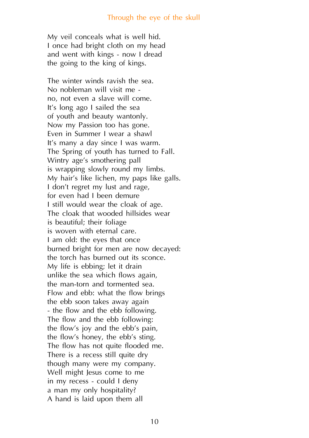My veil conceals what is well hid. I once had bright cloth on my head and went with kings - now I dread the going to the king of kings.

The winter winds ravish the sea. No nobleman will visit me no, not even a slave will come. It's long ago I sailed the sea of youth and beauty wantonly. Now my Passion too has gone. Even in Summer I wear a shawl It's many a day since I was warm. The Spring of youth has turned to Fall. Wintry age's smothering pall is wrapping slowly round my limbs. My hair's like lichen, my paps like galls. I don't regret my lust and rage, for even had I been demure I still would wear the cloak of age. The cloak that wooded hillsides wear is beautiful; their foliage is woven with eternal care. I am old: the eyes that once burned bright for men are now decayed: the torch has burned out its sconce. My life is ebbing; let it drain unlike the sea which flows again, the man-torn and tormented sea. Flow and ebb: what the flow brings the ebb soon takes away again - the flow and the ebb following. The flow and the ebb following: the flow's joy and the ebb's pain, the flow's honey, the ebb's sting. The flow has not quite flooded me. There is a recess still quite dry though many were my company. Well might Jesus come to me in my recess - could I deny a man my only hospitality? A hand is laid upon them all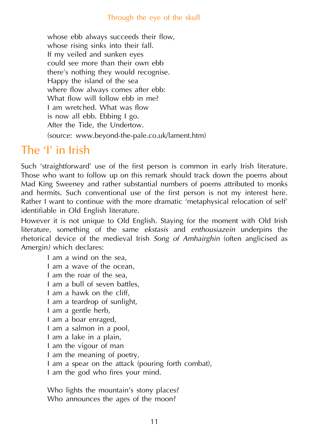whose ebb always succeeds their flow, whose rising sinks into their fall. If my veiled and sunken eyes could see more than their own ebb there's nothing they would recognise. Happy the island of the sea where flow always comes after ebb: What flow will follow ebb in me? I am wretched. What was flow is now all ebb. Ebbing I go. After the Tide, the Undertow. (source: www.beyond-the-pale.co.uk/lament.htm)

### The 'I' in Irish

Such 'straightforward' use of the first person is common in early Irish literature. Those who want to follow up on this remark should track down the poems about Mad King Sweeney and rather substantial numbers of poems attributed to monks and hermits. Such conventional use of the first person is not my interest here. Rather I want to continue with the more dramatic 'metaphysical relocation of self' identifiable in Old English literature.

However it is not unique to Old English. Staying for the moment with Old Irish literature, something of the same *ekstasis* and *enthousiazein* underpins the rhetorical device of the medieval Irish *Song of Amhairghin* (often anglicised as Amergin*)* which declares:

I am a wind on the sea, I am a wave of the ocean, I am the roar of the sea, I am a bull of seven battles, I am a hawk on the cliff, I am a teardrop of sunlight, I am a gentle herb, I am a boar enraged, I am a salmon in a pool, I am a lake in a plain, I am the vigour of man I am the meaning of poetry, I am a spear on the attack (pouring forth combat), I am the god who fires your mind.

Who lights the mountain's stony places? Who announces the ages of the moon?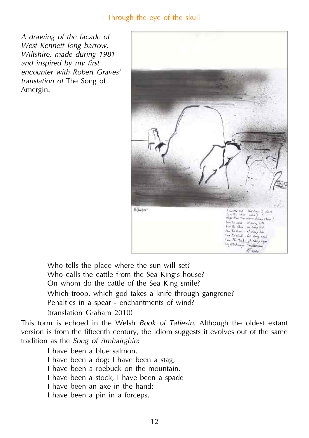*A drawing of the facade of West Kennett long barrow, Wiltshire, made during 1981 and inspired by my first encounter with Robert Graves' translation of* The Song of Amergin.



Who tells the place where the sun will set? Who calls the cattle from the Sea King's house? On whom do the cattle of the Sea King smile? Which troop, which god takes a knife through gangrene? Penalties in a spear - enchantments of wind? (translation Graham 2010)

This form is echoed in the Welsh *Book of Taliesin.* Although the oldest extant version is from the fifteenth century, the idiom suggests it evolves out of the same tradition as the *Song of Amhairghin*:

I have been a blue salmon. I have been a dog; I have been a stag; I have been a roebuck on the mountain. I have been a stock, I have been a spade I have been an axe in the hand; I have been a pin in a forceps,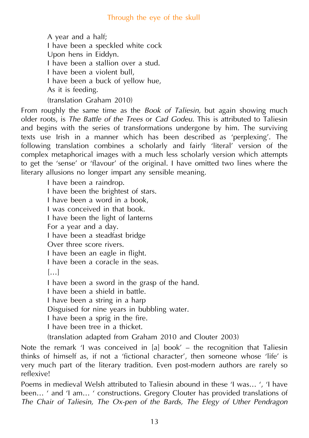A year and a half; I have been a speckled white cock Upon hens in Eiddyn. I have been a stallion over a stud. I have been a violent bull, I have been a buck of yellow hue, As it is feeding. (translation Graham 2010)

From roughly the same time as the *Book of Taliesin*, but again showing much older roots, is *The Battle of the Trees* or *Cad Godeu*. This is attributed to Taliesin and begins with the series of transformations undergone by him. The surviving texts use Irish in a manner which has been described as 'perplexing'. The following translation combines a scholarly and fairly 'literal' version of the complex metaphorical images with a much less scholarly version which attempts to get the 'sense' or 'flavour' of the original. I have omitted two lines where the literary allusions no longer impart any sensible meaning.

I have been a raindrop. I have been the brightest of stars. I have been a word in a book, I was conceived in that book. I have been the light of lanterns For a year and a day. I have been a steadfast bridge Over three score rivers. I have been an eagle in flight. I have been a coracle in the seas. […] I have been a sword in the grasp of the hand. I have been a shield in battle. I have been a string in a harp Disguised for nine years in bubbling water. I have been a sprig in the fire. I have been tree in a thicket. (translation adapted from Graham 2010 and Clouter 2003)

Note the remark 'I was conceived in [a] book' – the recognition that Taliesin thinks of himself as, if not a 'fictional character', then someone whose 'life' is very much part of the literary tradition. Even post-modern authors are rarely so reflexive!

Poems in medieval Welsh attributed to Taliesin abound in these 'I was… ', 'I have been… ' and 'I am… ' constructions. Gregory Clouter has provided translations of *The Chair of Taliesin, The Ox-pen of the Bards, The Elegy of Uther Pendragon*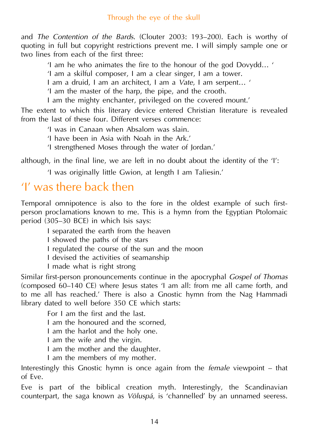and *The Contention of the Bards*. (Clouter 2003: 193–200). Each is worthy of quoting in full but copyright restrictions prevent me. I will simply sample one or two lines from each of the first three:

'I am he who animates the fire to the honour of the god Dovydd… '

'I am a skilful composer, I am a clear singer, I am a tower.

I am a druid, I am an architect, I am a *Vate*, I am serpent… '

'I am the master of the harp, the pipe, and the crooth.

I am the mighty enchanter, privileged on the covered mount.'

The extent to which this literary device entered Christian literature is revealed from the last of these four. Different verses commence:

'I was in Canaan when Absalom was slain.

'I have been in Asia with Noah in the Ark.'

'I strengthened Moses through the water of Jordan.'

although, in the final line, we are left in no doubt about the identity of the 'I':

'I was originally little Gwion, at length I am Taliesin.'

## 'I' was there back then

Temporal omnipotence is also to the fore in the oldest example of such firstperson proclamations known to me. This is a hymn from the Egyptian Ptolomaic period (305–30 BCE) in which Isis says:

I separated the earth from the heaven

I showed the paths of the stars

I regulated the course of the sun and the moon

I devised the activities of seamanship

I made what is right strong

Similar first-person pronouncements continue in the apocryphal *Gospel of Thomas* (composed 60–140 CE) where Jesus states 'I am all: from me all came forth, and to me all has reached.' There is also a Gnostic hymn from the Nag Hammadi library dated to well before 350 CE which starts:

For I am the first and the last.

I am the honoured and the scorned,

I am the harlot and the holy one.

I am the wife and the virgin.

I am the mother and the daughter.

I am the members of my mother.

Interestingly this Gnostic hymn is once again from the *female* viewpoint – that of Eve.

Eve is part of the biblical creation myth. Interestingly, the Scandinavian counterpart, the saga known as *Völuspá*, is 'channelled' by an unnamed seeress.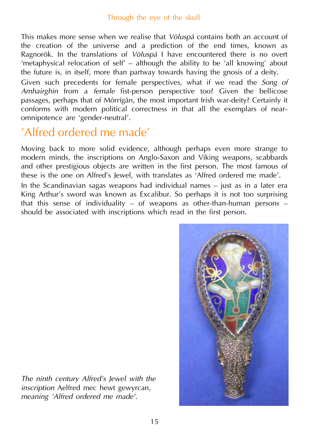This makes more sense when we realise that *Völuspá* contains both an account of the creation of the universe and a prediction of the end times, known as Ragnorök. In the translations of *Völuspá* I have encountered there is no overt 'metaphysical relocation of self' – although the ability to be 'all knowing' about the future is, in itself, more than partway towards having the gnosis of a deity.

Given such precedents for female perspectives, what if we read the *Song of Amhairghin* from a *female* fist-person perspective too? Given the bellicose passages, perhaps that of Mórrígán, the most important Irish war-deity? Certainly it conforms with modern political correctness in that all the exemplars of nearomnipotence are 'gender-neutral'.

# 'Alfred ordered me made'

Moving back to more solid evidence, although perhaps even more strange to modern minds, the inscriptions on Anglo-Saxon and Viking weapons, scabbards and other prestigious objects are written in the first person. The most famous of these is the one on Alfred's Jewel, with translates as 'Alfred ordered me made'.

In the Scandinavian sagas weapons had individual names – just as in a later era King Arthur's sword was known as Excalibur. So perhaps it is not too surprising that this sense of individuality – of weapons as other-than-human persons – should be associated with inscriptions which read in the first person.



*The ninth century Alfred's Jewel with the inscription* Aelfred mec hewt gewyrcan, *meaning 'Alfred ordered me made'.*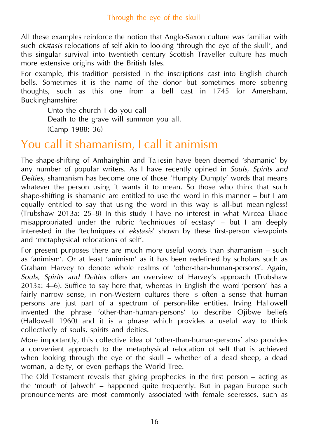All these examples reinforce the notion that Anglo-Saxon culture was familiar with such *ekstasis* relocations of self akin to looking 'through the eye of the skull', and this singular survival into twentieth century Scottish Traveller culture has much more extensive origins with the British Isles.

For example, this tradition persisted in the inscriptions cast into English church bells. Sometimes it is the name of the donor but sometimes more sobering thoughts, such as this one from a bell cast in 1745 for Amersham, Buckinghamshire:

Unto the church I do you call Death to the grave will summon you all. (Camp 1988: 36)

## You call it shamanism, I call it animism

The shape-shifting of Amhairghin and Taliesin have been deemed 'shamanic' by any number of popular writers. As I have recently opined in *Souls, Spirits and Deities,* shamanism has become one of those 'Humpty Dumpty' words that means whatever the person using it wants it to mean. So those who think that such shape-shifting is shamanic are entitled to use the word in this manner – but I am equally entitled to say that using the word in this way is all-but meaningless! (Trubshaw 2013a: 25–8) In this study I have no interest in what Mircea Eliade misappropriated under the rubric 'techniques of ecstasy' – but I am deeply interested in the 'techniques of *ekstasis*' shown by these first-person viewpoints and 'metaphysical relocations of self'.

For present purposes there are much more useful words than shamanism – such as 'animism'. Or at least 'animism' as it has been redefined by scholars such as Graham Harvey to denote whole realms of 'other-than-human-persons'. Again, *Souls, Spirits and Deities* offers an overview of Harvey's approach (Trubshaw 2013a: 4–6). Suffice to say here that, whereas in English the word 'person' has a fairly narrow sense, in non-Western cultures there is often a sense that human persons are just part of a spectrum of person-like entities. Irving Hallowell invented the phrase 'other-than-human-persons' to describe Ojibwe beliefs (Hallowell 1960) and it is a phrase which provides a useful way to think collectively of souls, spirits and deities.

More importantly, this collective idea of 'other-than-human-persons' also provides a convenient approach to the metaphysical relocation of self that is achieved when looking through the eye of the skull – whether of a dead sheep, a dead woman, a deity, or even perhaps the World Tree.

The Old Testament reveals that giving prophecies in the first person – acting as the 'mouth of Jahweh' – happened quite frequently. But in pagan Europe such pronouncements are most commonly associated with female seeresses, such as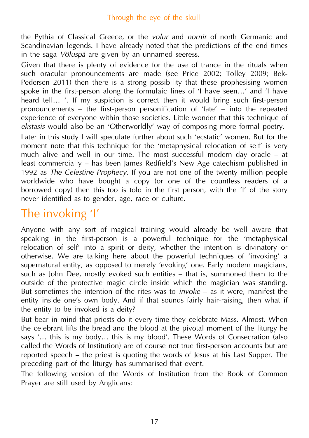the Pythia of Classical Greece, or the *volur* and *nornir* of north Germanic and Scandinavian legends. I have already noted that the predictions of the end times in the saga *Völuspá* are given by an unnamed seeress.

Given that there is plenty of evidence for the use of trance in the rituals when such oracular pronouncements are made (see Price 2002; Tolley 2009; Bek-Pedersen 2011) then there is a strong possibility that these prophesising women spoke in the first-person along the formulaic lines of 'I have seen…' and 'I have heard tell... '. If my suspicion is correct then it would bring such first-person pronouncements – the first-person personification of 'fate' – into the repeated experience of everyone within those societies. Little wonder that this technique of *ekstasis* would also be an 'Otherworldly' way of composing more formal poetry. Later in this study I will speculate further about such 'ecstatic' women. But for the moment note that this technique for the 'metaphysical relocation of self' is very much alive and well in our time. The most successful modern day oracle – at least commercially – has been James Redfield's New Age catechism published in

1992 as *The Celestine Prophecy*. If you are not one of the twenty million people worldwide who have bought a copy (or one of the countless readers of a borrowed copy) then this too is told in the first person, with the 'I' of the story never identified as to gender, age, race or culture.

# The invoking 'I'

Anyone with any sort of magical training would already be well aware that speaking in the first-person is a powerful technique for the 'metaphysical relocation of self' into a spirit or deity, whether the intention is divinatory or otherwise. We are talking here about the powerful techniques of 'invoking' a supernatural entity, as opposed to merely 'evoking' one. Early modern magicians, such as John Dee, mostly evoked such entities – that is, summoned them to the outside of the protective magic circle inside which the magician was standing. But sometimes the intention of the rites was to *invoke* – as it were, manifest the entity inside one's own body. And if that sounds fairly hair-raising, then what if the entity to be invoked is a deity?

But bear in mind that priests do it every time they celebrate Mass. Almost. When the celebrant lifts the bread and the blood at the pivotal moment of the liturgy he says '… this is my body… this is my blood'. These Words of Consecration (also called the Words of Institution) are of course not true first-person accounts but are reported speech – the priest is quoting the words of Jesus at his Last Supper. The preceding part of the liturgy has summarised that event.

The following version of the Words of Institution from the Book of Common Prayer are still used by Anglicans: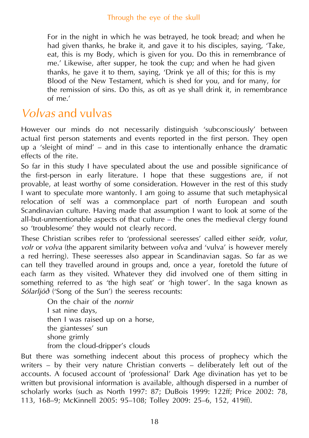For in the night in which he was betrayed, he took bread; and when he had given thanks, he brake it, and gave it to his disciples, saying, 'Take, eat, this is my Body, which is given for you. Do this in remembrance of me.' Likewise, after supper, he took the cup; and when he had given thanks, he gave it to them, saying, 'Drink ye all of this; for this is my Blood of the New Testament, which is shed for you, and for many, for the remission of sins. Do this, as oft as ye shall drink it, in remembrance of me.'

### *Volvas* and vulvas

However our minds do not necessarily distinguish 'subconsciously' between actual first person statements and events reported in the first person. They open up a 'sleight of mind' – and in this case to intentionally enhance the dramatic effects of the rite.

So far in this study I have speculated about the use and possible significance of the first-person in early literature. I hope that these suggestions are, if not provable, at least worthy of some consideration. However in the rest of this study I want to speculate more wantonly. I am going to assume that such metaphysical relocation of self was a commonplace part of north European and south Scandinavian culture. Having made that assumption I want to look at some of the all-but-unmentionable aspects of that culture – the ones the medieval clergy found so 'troublesome' they would not clearly record.

These Christian scribes refer to 'professional seeresses' called either *seiðr, volur, volr* or *volva* (the apparent similarity between *volva* and 'vulva' is however merely a red herring)*.* These seeresses also appear in Scandinavian sagas. So far as we can tell they travelled around in groups and, once a year, foretold the future of each farm as they visited. Whatever they did involved one of them sitting in something referred to as 'the high seat' or 'high tower'. In the saga known as *Sólarljóð* ('Song of the Sun') the seeress recounts:

On the chair of the *nornir* I sat nine days, then I was raised up on a horse, the giantesses' sun shone grimly from the cloud-dripper's clouds

But there was something indecent about this process of prophecy which the writers – by their very nature Christian converts – deliberately left out of the accounts. A focused account of 'professional' Dark Age divination has yet to be written but provisional information is available, although dispersed in a number of scholarly works (such as North 1997: 87; DuBois 1999: 122ff; Price 2002: 78, 113, 168–9; McKinnell 2005: 95–108; Tolley 2009: 25–6, 152, 419ff).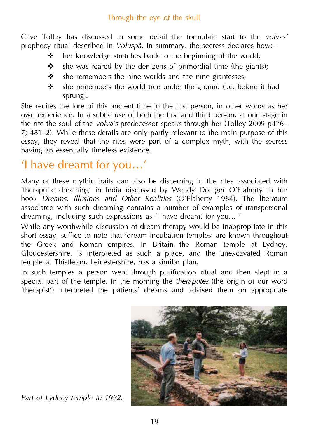Clive Tolley has discussed in some detail the formulaic start to the *volvas'* prophecy ritual described in *Voluspá*. In summary, the seeress declares how:–

- $\cdot \cdot$  her knowledge stretches back to the beginning of the world;
- $\cdot \cdot$  she was reared by the denizens of primordial time (the giants):
- $\cdot$  she remembers the nine worlds and the nine giantesses;
- $\cdot \cdot$  she remembers the world tree under the ground (i.e. before it had sprung).

She recites the lore of this ancient time in the first person, in other words as her own experience. In a subtle use of both the first and third person, at one stage in the rite the soul of the *volva's* predecessor speaks through her (Tolley 2009 p476– 7; 481–2). While these details are only partly relevant to the main purpose of this essay, they reveal that the rites were part of a complex myth, with the seeress having an essentially timeless existence.

# 'I have dreamt for you…'

Many of these mythic traits can also be discerning in the rites associated with 'theraputic dreaming' in India discussed by Wendy Doniger O'Flaherty in her book *Dreams, Illusions and Other Realities* (O'Flaherty 1984). The literature associated with such dreaming contains a number of examples of transpersonal dreaming, including such expressions as 'I have dreamt for you… '

While any worthwhile discussion of dream therapy would be inappropriate in this short essay, suffice to note that 'dream incubation temples' are known throughout the Greek and Roman empires. In Britain the Roman temple at Lydney, Gloucestershire, is interpreted as such a place, and the unexcavated Roman temple at Thistleton, Leicestershire, has a similar plan.

In such temples a person went through purification ritual and then slept in a special part of the temple. In the morning the *theraputes* (the origin of our word 'therapist') interpreted the patients' dreams and advised them on appropriate



*Part of Lydney temple in 1992.*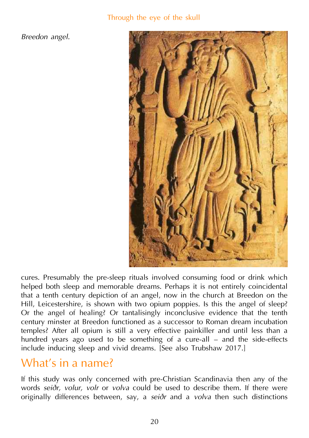*Breedon angel.*



cures. Presumably the pre-sleep rituals involved consuming food or drink which helped both sleep and memorable dreams. Perhaps it is not entirely coincidental that a tenth century depiction of an angel, now in the church at Breedon on the Hill, Leicestershire, is shown with two opium poppies. Is this the angel of sleep? Or the angel of healing? Or tantalisingly inconclusive evidence that the tenth century minster at Breedon functioned as a successor to Roman dream incubation temples? After all opium is still a very effective painkiller and until less than a hundred years ago used to be something of a cure-all – and the side-effects include inducing sleep and vivid dreams. [See also Trubshaw 2017.]

## What's in a name?

If this study was only concerned with pre-Christian Scandinavia then any of the words *seiðr, volur, volr* or *volva* could be used to describe them. If there were originally differences between, say, a *seiðr* and a *volva* then such distinctions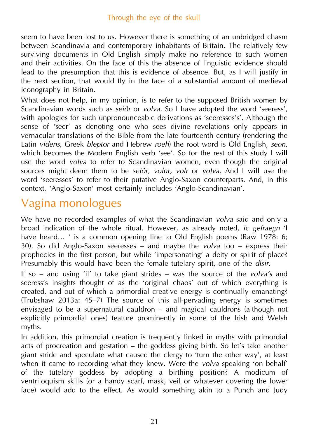seem to have been lost to us. However there is something of an unbridged chasm between Scandinavia and contemporary inhabitants of Britain. The relatively few surviving documents in Old English simply make no reference to such women and their activities. On the face of this the absence of linguistic evidence should lead to the presumption that this is evidence of absence. But, as I will justify in the next section, that would fly in the face of a substantial amount of medieval iconography in Britain.

What does not help, in my opinion, is to refer to the supposed British women by Scandinavian words such as *seiðr* or *volva*. So I have adopted the word 'seeress', with apologies for such unpronounceable derivations as 'seeresses's'. Although the sense of 'seer' as denoting one who sees divine revelations only appears in vernacular translations of the Bible from the late fourteenth century (rendering the Latin *videns*, Greek *bleptor* and Hebrew *roeh*) the root word is Old English, *seon*, which becomes the Modern English verb 'see'. So for the rest of this study I will use the word *volva* to refer to Scandinavian women, even though the original sources might deem them to be *seiðr, volur, volr* or *volva*. And I will use the word 'seeresses' to refer to their putative Anglo-Saxon counterparts. And, in this context, 'Anglo-Saxon' most certainly includes 'Anglo-Scandinavian'.

# Vagina monologues

We have no recorded examples of what the Scandinavian *volva* said and only a broad indication of the whole ritual. However, as already noted, *ic gefraegn* 'I have heard... ' is a common opening line to Old English poems (Raw 1978: 6; 30). So did Anglo-Saxon seeresses – and maybe the *volva* too – express their prophecies in the first person, but while 'impersonating' a deity or spirit of place? Presumably this would have been the female tutelary spirit, one of the *dísir*.

If so – and using 'if' to take giant strides – was the source of the *volva's* and seeress's insights thought of as the 'original chaos' out of which everything is created, and out of which a primordial creative energy is continually emanating? (Trubshaw 2013a: 45–7) The source of this all-pervading energy is sometimes envisaged to be a supernatural cauldron – and magical cauldrons (although not explicitly primordial ones) feature prominently in some of the Irish and Welsh myths.

In addition, this primordial creation is frequently linked in myths with primordial acts of procreation and gestation – the goddess giving birth. So let's take another giant stride and speculate what caused the clergy to 'turn the other way', at least when it came to recording what they knew. Were the *volva* speaking 'on behalf' of the tutelary goddess by adopting a birthing position? A modicum of ventriloquism skills (or a handy scarf, mask, veil or whatever covering the lower face) would add to the effect. As would something akin to a Punch and Judy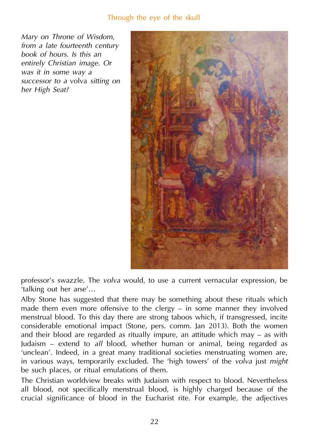*Mary on Throne of Wisdom, from a late fourteenth century book of hours. Is this an entirely Christian image. Or was it in some way a successor to a* volva *sitting on her High Seat?*



professor's swazzle. The *volva* would, to use a current vernacular expression, be 'talking out her arse'…

Alby Stone has suggested that there may be something about these rituals which made them even more offensive to the clergy – in some manner they involved menstrual blood. To this day there are strong taboos which, if transgressed, incite considerable emotional impact (Stone, pers. comm. Jan 2013). Both the women and their blood are regarded as ritually impure, an attitude which may – as with Judaism – extend to *all* blood, whether human or animal, being regarded as 'unclean'. Indeed, in a great many traditional societies menstruating women are, in various ways, temporarily excluded. The 'high towers' of the *volva* just *might* be such places, or ritual emulations of them.

The Christian worldview breaks with Judaism with respect to blood. Nevertheless all blood, not specifically menstrual blood, is highly charged because of the crucial significance of blood in the Eucharist rite. For example, the adjectives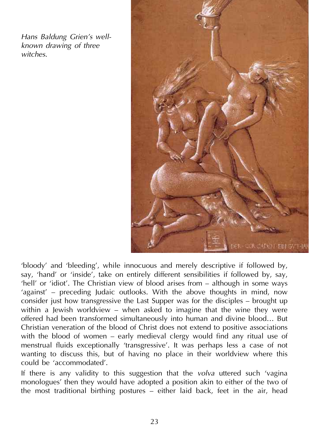*Hans Baldung Grien's wellknown drawing of three witches.*



'bloody' and 'bleeding', while innocuous and merely descriptive if followed by, say, 'hand' or 'inside', take on entirely different sensibilities if followed by, say, 'hell' or 'idiot'. The Christian view of blood arises from – although in some ways 'against' – preceding Judaic outlooks. With the above thoughts in mind, now consider just how transgressive the Last Supper was for the disciples – brought up within a Jewish worldview – when asked to imagine that the wine they were offered had been transformed simultaneously into human and divine blood… But Christian veneration of the blood of Christ does not extend to positive associations with the blood of women – early medieval clergy would find any ritual use of menstrual fluids exceptionally 'transgressive'. It was perhaps less a case of not wanting to discuss this, but of having no place in their worldview where this could be 'accommodated'.

If there is any validity to this suggestion that the *volva* uttered such 'vagina monologues' then they would have adopted a position akin to either of the two of the most traditional birthing postures – either laid back, feet in the air, head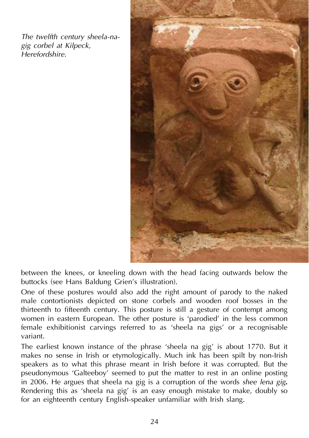*The twelfth century sheela-nagig corbel at Kilpeck, Herefordshire.*



between the knees, or kneeling down with the head facing outwards below the buttocks (see Hans Baldung Grien's illustration).

One of these postures would also add the right amount of parody to the naked male contortionists depicted on stone corbels and wooden roof bosses in the thirteenth to fifteenth century. This posture is still a gesture of contempt among women in eastern European. The other posture is 'parodied' in the less common female exhibitionist carvings referred to as 'sheela na gigs' or a recognisable variant.

The earliest known instance of the phrase 'sheela na gig' is about 1770. But it makes no sense in Irish or etymologically. Much ink has been spilt by non-Irish speakers as to what this phrase meant in Irish before it was corrupted. But the pseudonymous 'Galteeboy' seemed to put the matter to rest in an online posting in 2006. He argues that sheela na gig is a corruption of the words *shee lena gig***.** Rendering this as 'sheela na gig' is an easy enough mistake to make, doubly so for an eighteenth century English-speaker unfamiliar with Irish slang.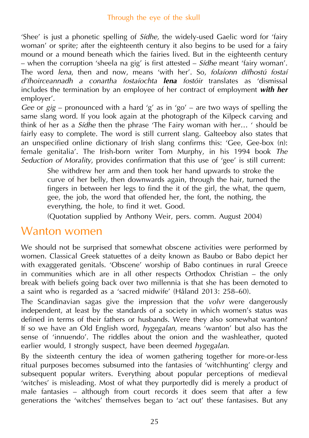'Shee' is just a phonetic spelling of *Sídhe,* the widely-used Gaelic word for 'fairy woman' or sprite; after the eighteenth century it also begins to be used for a fairy mound or a mound beneath which the fairies lived. But in the eighteenth century – when the corruption 'sheela na gig' is first attested – *Sídhe* meant 'fairy woman'. The word *lena*, then and now, means 'with her'. So, *folaíonn dífhostú fostaí d'fhoirceannadh a conartha fostaíochta lena fostóir* translates as 'dismissal includes the termination by an employee of her contract of employment *with her* employer'.

*Gee* or *gig* – pronounced with a hard 'g' as in 'go' – are two ways of spelling the same slang word. If you look again at the photograph of the Kilpeck carving and think of her as a *Sídhe* then the phrase 'The Fairy woman with her… ' should be fairly easy to complete. The word is still current slang. Galteeboy also states that an unspecified online dictionary of Irish slang confirms this: 'Gee, Gee-box (n): female genitalia'. The Irish-born writer Tom Murphy, in his 1994 book *The Seduction of Morality*, provides confirmation that this use of 'gee' is still current:

She withdrew her arm and then took her hand upwards to stroke the curve of her belly, then downwards again, through the hair, turned the fingers in between her legs to find the it of the girl, the what, the quem, gee, the job, the word that offended her, the font, the nothing, the everything, the hole, to find it wet. Good.

(Quotation supplied by Anthony Weir, pers. comm. August 2004)

### Wanton women

We should not be surprised that somewhat obscene activities were performed by women. Classical Greek statuettes of a deity known as Baubo or Babo depict her with exaggerated genitals. 'Obscene' worship of Babo continues in rural Greece in communities which are in all other respects Orthodox Christian – the only break with beliefs going back over two millennia is that she has been demoted to a saint who is regarded as a 'sacred midwife' (Håland 2013: 258–60).

The Scandinavian sagas give the impression that the *volvr* were dangerously independent, at least by the standards of a society in which women's status was defined in terms of their fathers or husbands. Were they also somewhat wanton? If so we have an Old English word, *hygegalan,* means 'wanton' but also has the sense of 'innuendo'. The riddles about the onion and the washleather, quoted earlier would, I strongly suspect, have been deemed *hygegalan*.

By the sixteenth century the idea of women gathering together for more-or-less ritual purposes becomes subsumed into the fantasies of 'witchhunting' clergy and subsequent popular writers. Everything about popular perceptions of medieval 'witches' is misleading. Most of what they purportedly did is merely a product of male fantasies – although from court records it does seem that after a few generations the 'witches' themselves began to 'act out' these fantasises. But any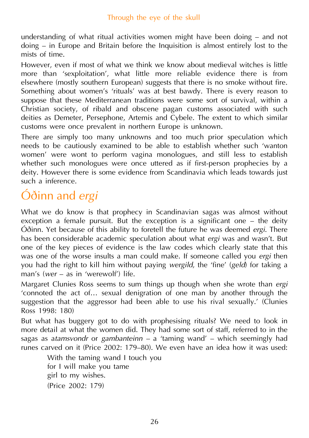understanding of what ritual activities women might have been doing – and not doing – in Europe and Britain before the Inquisition is almost entirely lost to the mists of time.

However, even if most of what we think we know about medieval witches is little more than 'sexploitation', what little more reliable evidence there is from elsewhere (mostly southern European) suggests that there is no smoke without fire. Something about women's 'rituals' was at best bawdy. There is every reason to suppose that these Mediterranean traditions were some sort of survival, within a Christian society, of ribald and obscene pagan customs associated with such deities as Demeter, Persephone, Artemis and Cybele. The extent to which similar customs were once prevalent in northern Europe is unknown.

There are simply too many unknowns and too much prior speculation which needs to be cautiously examined to be able to establish whether such 'wanton women' were wont to perform vagina monologues, and still less to establish whether such monologues were once uttered as if first-person prophecies by a deity. However there is some evidence from Scandinavia which leads towards just such a inference.

# Óðinn and *ergi*

What we do know is that prophecy in Scandinavian sagas was almost without exception a female pursuit. But the exception is a significant one – the deity Óðinn. Yet because of this ability to foretell the future he was deemed *ergi*. There has been considerable academic speculation about what *ergi* was and wasn't. But one of the key pieces of evidence is the law codes which clearly state that this was one of the worse insults a man could make. If someone called you *ergi* then you had the right to kill him without paying *wergild*, the 'fine' (*geld*) for taking a man's (*wer* – as in 'werewolf') life.

Margaret Clunies Ross seems to sum things up though when she wrote than *ergi* 'connoted the act of… sexual denigration of one man by another through the suggestion that the aggressor had been able to use his rival sexually.' (Clunies Ross 1998: 180)

But what has buggery got to do with prophesising rituals? We need to look in more detail at what the women did. They had some sort of staff, referred to in the sagas as a*tamsvondr* or *gambanteinn –* a 'taming wand' – which seemingly had runes carved on it (Price 2002: 179–80). We even have an idea how it was used:

With the taming wand I touch you for I will make you tame girl to my wishes. (Price 2002: 179)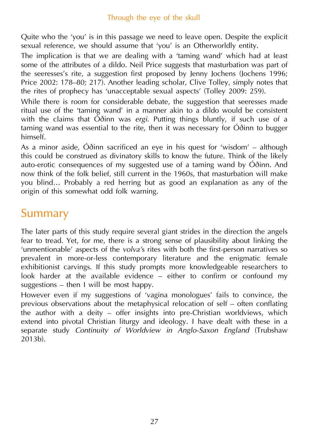Quite who the 'you' is in this passage we need to leave open. Despite the explicit sexual reference, we should assume that 'you' is an Otherworldly entity.

The implication is that we are dealing with a 'taming wand' which had at least some of the attributes of a dildo. Neil Price suggests that masturbation was part of the seeresses's rite, a suggestion first proposed by Jenny Jochens (Jochens 1996; Price 2002: 178–80; 217). Another leading scholar, Clive Tolley, simply notes that the rites of prophecy has 'unacceptable sexual aspects' (Tolley 2009: 259).

While there is room for considerable debate, the suggestion that seeresses made ritual use of the 'taming wand' in a manner akin to a dildo would be consistent with the claims that Óðinn was *ergi*. Putting things bluntly, if such use of a taming wand was essential to the rite, then it was necessary for Óðinn to bugger himself.

As a minor aside, Óðinn sacrificed an eye in his quest for 'wisdom' – although this could be construed as divinatory skills to know the future. Think of the likely auto-erotic consequences of my suggested use of a taming wand by Óðinn. And now think of the folk belief, still current in the 1960s, that masturbation will make you blind… Probably a red herring but as good an explanation as any of the origin of this somewhat odd folk warning.

## Summary

The later parts of this study require several giant strides in the direction the angels fear to tread. Yet, for me, there is a strong sense of plausibility about linking the 'unmentionable' aspects of the *volva'*s rites with both the first-person narratives so prevalent in more-or-less contemporary literature and the enigmatic female exhibitionist carvings. If this study prompts more knowledgeable researchers to look harder at the available evidence – either to confirm or confound my suggestions – then I will be most happy.

However even if my suggestions of 'vagina monologues' fails to convince, the previous observations about the metaphysical relocation of self – often conflating the author with a deity – offer insights into pre-Christian worldviews, which extend into pivotal Christian liturgy and ideology. I have dealt with these in a separate study *Continuity of Worldview in Anglo-Saxon England* (Trubshaw 2013b).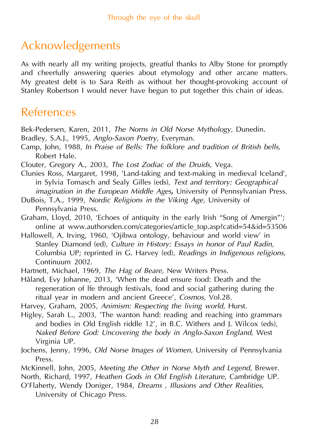# Acknowledgements

As with nearly all my writing projects, greatful thanks to Alby Stone for promptly and cheerfully answering queries about etymology and other arcane matters. My greatest debt is to Sara Reith as without her thought-provoking account of Stanley Robertson I would never have begun to put together this chain of ideas.

### References

Bek-Pedersen, Karen, 2011, *The Norns in Old Norse Mythology,* Dunedin.

- Bradley, S.A.J., 1995, *Anglo-Saxon Poetry,* Everyman*.*
- Camp, John, 1988, *In Praise of Bells: The folklore and tradition of British bells,* Robert Hale.
- Clouter, Gregory A., 2003, *The Lost Zodiac of the Druids*, Vega.
- Clunies Ross, Margaret, 1998, 'Land-taking and text-making in medieval Iceland', in Sylvia Tomasch and Sealy Gilles (eds), *Text and territory: Geographical imagination in the European Middle Ages,* University of Pennsylvanian Press.
- DuBois, T.A., 1999, *Nordic Religions in the Viking Age,* University of Pennsylvania Press.
- Graham, Lloyd, 2010, 'Echoes of antiquity in the early Irish "Song of Amergin"'; online at www.authorsden.com/categories/article\_top.asp?catid=54&id=53506
- Hallowell, A. Irving, 1960, 'Ojibwa ontology, behaviour and world view' in Stanley Diamond (ed), *Culture in History: Essays in honor of Paul Radin,* Columbia UP; reprinted in G. Harvey (ed), *Readings in Indigenous religions,* Continuum 2002.
- Hartnett, Michael, 1969, *The Hag of Beare,* New Writers Press.
- Håland, Evy Johanne, 2013, 'When the dead ensure food: Death and the regeneration of lfe through festivals, food and social gathering during the ritual year in modern and ancient Greece', *Cosmos*, Vol.28.

Harvey, Graham, 2005, *Animism: Respecting the living world,* Hurst.

- Higley, Sarah L., 2003, 'The wanton hand: reading and reaching into grammars and bodies in Old English riddle 12', in B.C. Withers and J. Wilcox (eds), *Naked Before God: Uncovering the body in Anglo-Saxon England,* West Virginia UP.
- Jochens, Jenny, 1996, *Old Norse Images of Women,* University of Pennsylvania Press.
- McKinnell, John, 2005, *Meeting the Other in Norse Myth and Legend,* Brewer.

North, Richard, 1997, *Heathen Gods in Old English Literature*, Cambridge UP.

O'Flaherty, Wendy Doniger, 1984, *Dreams , Illusions and Other Realities*, University of Chicago Press.